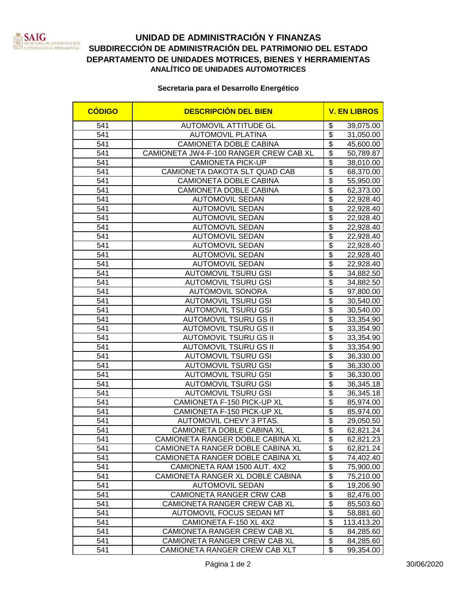

## **UNIDAD DE ADMINISTRACIÓN Y FINANZAS SUBDIRECCIÓN DE ADMINISTRACIÓN DEL PATRIMONIO DEL ESTADO DEPARTAMENTO DE UNIDADES MOTRICES, BIENES Y HERRAMIENTAS ANALÍTICO DE UNIDADES AUTOMOTRICES**

## **Secretaria para el Desarrollo Energético**

| <b>CÓDIGO</b> | <b>DESCRIPCIÓN DEL BIEN</b>                                   | <b>V. EN LIBROS</b>                        |                        |
|---------------|---------------------------------------------------------------|--------------------------------------------|------------------------|
| 541           | <b>AUTOMOVIL ATTITUDE GL</b>                                  | \$                                         | 39,075.00              |
| 541           | <b>AUTOMOVIL PLATINA</b>                                      | \$                                         | 31,050.00              |
| 541           | CAMIONETA DOBLE CABINA                                        | $\overline{\$}$                            | 45,600.00              |
| 541           | CAMIONETA JW4-F-100 RANGER CREW CAB XL                        | $\overline{\$}$                            | 50,789.87              |
| 541           | <b>CAMIONETA PICK-UP</b>                                      | $\overline{\$}$                            | 38,010.00              |
| 541           | CAMIONETA DAKOTA SLT QUAD CAB                                 | $\overline{\$}$                            | 68,370.00              |
| 541           | CAMIONETA DOBLE CABINA                                        | $\overline{\$}$                            | 55,950.00              |
| 541           | CAMIONETA DOBLE CABINA                                        | $\overline{\$}$                            | 62,373.00              |
| 541           | <b>AUTOMOVIL SEDAN</b>                                        | $\overline{\$}$                            | 22,928.40              |
| 541           | <b>AUTOMOVIL SEDAN</b>                                        | $\overline{\$}$                            | 22,928.40              |
| 541           | <b>AUTOMOVIL SEDAN</b>                                        | $\overline{\$}$                            | 22,928.40              |
| 541           | <b>AUTOMOVIL SEDAN</b>                                        | $\overline{\$}$                            | 22,928.40              |
| 541           | <b>AUTOMOVIL SEDAN</b>                                        | $\overline{\$}$                            | 22,928.40              |
| 541           | <b>AUTOMOVIL SEDAN</b>                                        | \$                                         | 22,928.40              |
| 541           | <b>AUTOMOVIL SEDAN</b>                                        | $\overline{\$}$                            | 22,928.40              |
| 541           | <b>AUTOMOVIL SEDAN</b>                                        | $\overline{\$}$                            | 22,928.40              |
| 541           | <b>AUTOMOVIL TSURU GSI</b>                                    | $\overline{\$}$                            | 34,882.50              |
| 541           | <b>AUTOMOVIL TSURU GSI</b>                                    | $\overline{\$}$                            | 34,882.50              |
| 541           | <b>AUTOMOVIL SONORA</b>                                       | $\overline{\mathbf{S}}$                    | 97,800.00              |
| 541           | <b>AUTOMOVIL TSURU GSI</b>                                    | $\overline{\$}$                            | 30,540.00              |
| 541           | <b>AUTOMOVIL TSURU GSI</b>                                    | $\overline{\$}$                            | 30,540.00              |
| 541           | <b>AUTOMOVIL TSURU GS II</b>                                  | $\overline{\$}$                            | 33,354.90              |
| 541           | <b>AUTOMOVIL TSURU GS II</b>                                  | $\overline{\$}$                            | 33,354.90              |
| 541           | <b>AUTOMOVIL TSURU GS II</b>                                  | $\overline{\$}$                            | 33,354.90              |
| 541           | <b>AUTOMOVIL TSURU GS II</b>                                  | $\overline{\$}$                            | 33,354.90              |
| 541           | <b>AUTOMOVIL TSURU GSI</b>                                    | $\overline{\$}$                            | 36,330.00              |
| 541           | <b>AUTOMOVIL TSURU GSI</b>                                    | $\overline{\$}$                            | 36,330.00              |
| 541           | <b>AUTOMOVIL TSURU GSI</b>                                    | $\overline{\$}$                            | 36,330.00              |
| 541           | <b>AUTOMOVIL TSURU GSI</b>                                    | $\overline{\$}$                            | 36,345.18              |
| 541           | <b>AUTOMOVIL TSURU GSI</b>                                    | $\overline{\$}$                            | 36,345.18              |
| 541           | CAMIONETA F-150 PICK-UP XL                                    | $\overline{\$}$                            | 85,974.00              |
| 541           | CAMIONETA F-150 PICK-UP XL                                    | $\overline{\$}$                            | 85,974.00              |
| 541           | AUTOMOVIL CHEVY 3 PTAS.                                       | $\overline{\$}$                            | 29,050.50              |
| 541           | CAMIONETA DOBLE CABINA XL                                     | $\overline{\$}$                            | 62,821.24              |
| 541           | CAMIONETA RANGER DOBLE CABINA XL                              | \$                                         | 62,821.23              |
| 541           | CAMIONETA RANGER DOBLE CABINA XL                              | \$                                         | 62,821.24              |
| 541           | CAMIONETA RANGER DOBLE CABINA XL                              | $\overline{\$}$                            | 74,402.40              |
| 541           | CAMIONETA RAM 1500 AUT. 4X2                                   | $\overline{\mathcal{E}}$                   | 75,900.00              |
| 541           | CAMIONETA RANGER XL DOBLE CABINA                              | $\overline{\$}$                            | 75,210.00              |
| 541           | <b>AUTOMOVIL SEDAN</b>                                        | $\overline{\boldsymbol{\theta}}$           | 19,206.90              |
| 541           | CAMIONETA RANGER CRW CAB                                      | $\overline{\boldsymbol{\theta}}$           | 82,476.00              |
| 541           | CAMIONETA RANGER CREW CAB XL                                  | $\overline{\mathfrak{s}}$                  | 85,503.60              |
| 541           | AUTOMOVIL FOCUS SEDAN MT                                      | $\overline{\mathfrak{s}}$                  | 58,881.60              |
| 541           | CAMIONETA F-150 XL 4X2                                        | $\overline{\mathbf{S}}$<br>$\overline{\$}$ | 113,413.20             |
| 541           | CAMIONETA RANGER CREW CAB XL                                  | $\overline{\$}$                            | 84,285.60              |
| 541<br>541    | CAMIONETA RANGER CREW CAB XL<br>CAMIONETA RANGER CREW CAB XLT | $\overline{\mathbf{S}}$                    | 84,285.60<br>99,354.00 |
|               |                                                               |                                            |                        |